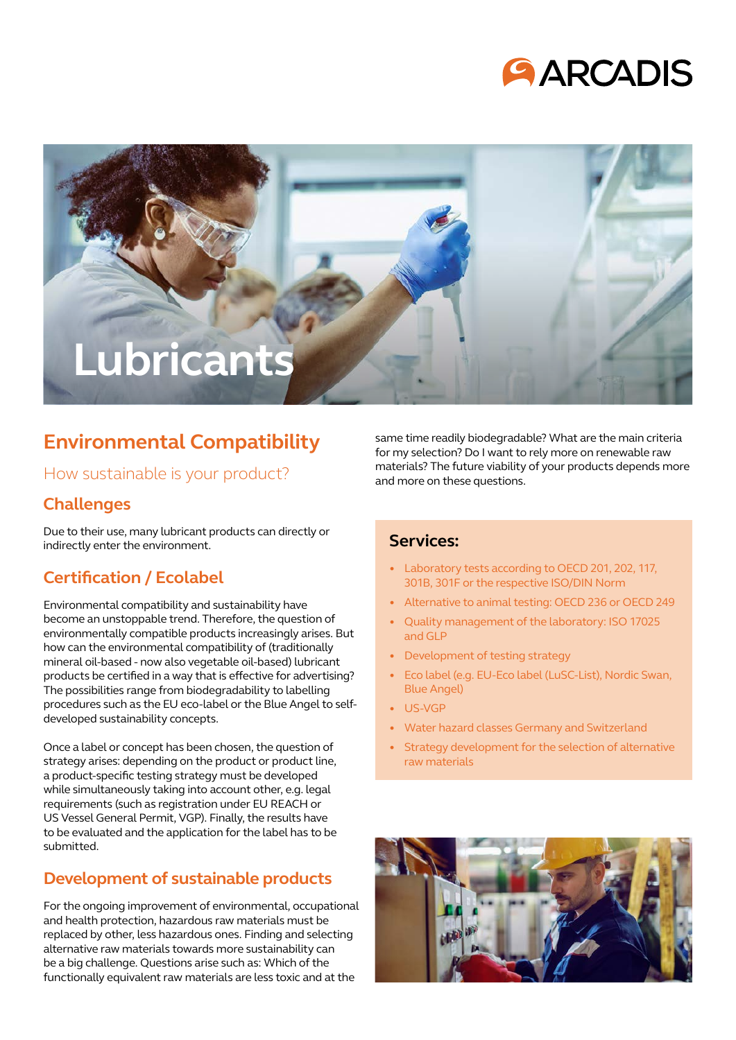



## **Environmental Compatibility**

### How sustainable is your product?

### **Challenges**

Due to their use, many lubricant products can directly or indirectly enter the environment.

## **Certification / Ecolabel**

Environmental compatibility and sustainability have become an unstoppable trend. Therefore, the question of environmentally compatible products increasingly arises. But how can the environmental compatibility of (traditionally mineral oil-based - now also vegetable oil-based) lubricant products be certified in a way that is effective for advertising? The possibilities range from biodegradability to labelling procedures such as the EU eco-label or the Blue Angel to selfdeveloped sustainability concepts.

Once a label or concept has been chosen, the question of strategy arises: depending on the product or product line, a product-specific testing strategy must be developed while simultaneously taking into account other, e.g. legal requirements (such as registration under EU REACH or US Vessel General Permit, VGP). Finally, the results have to be evaluated and the application for the label has to be submitted.

## **Development of sustainable products**

For the ongoing improvement of environmental, occupational and health protection, hazardous raw materials must be replaced by other, less hazardous ones. Finding and selecting alternative raw materials towards more sustainability can be a big challenge. Questions arise such as: Which of the functionally equivalent raw materials are less toxic and at the

same time readily biodegradable? What are the main criteria for my selection? Do I want to rely more on renewable raw materials? The future viability of your products depends more and more on these questions.

#### **Services:**

- Laboratory tests according to OECD 201, 202, 117, 301B, 301F or the respective ISO/DIN Norm
- Alternative to animal testing: OECD 236 or OECD 249
- Quality management of the laboratory: ISO 17025 and GLP
- Development of testing strategy
- Eco label (e.g. EU-Eco label (LuSC-List), Nordic Swan, Blue Angel)
- US-VGP
- Water hazard classes Germany and Switzerland
- Strategy development for the selection of alternative raw materials